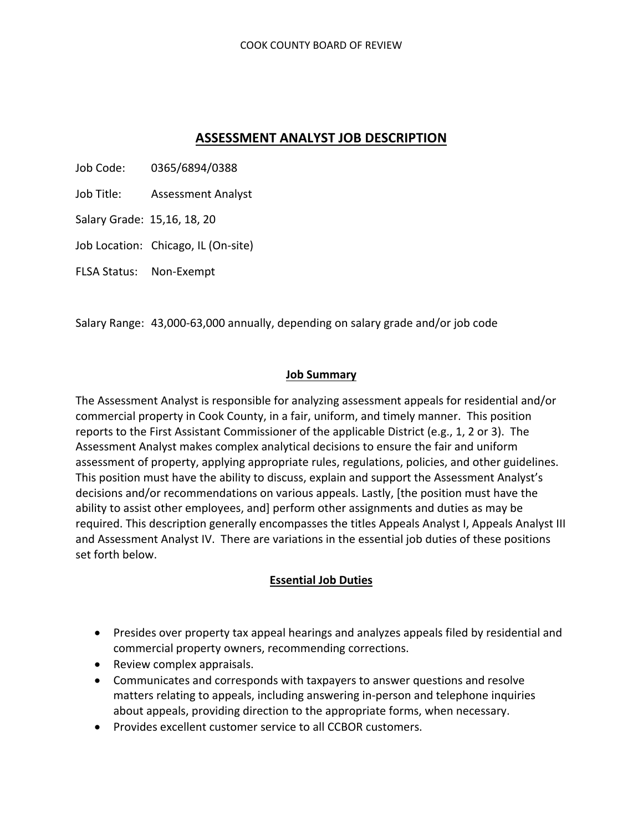# **ASSESSMENT ANALYST JOB DESCRIPTION**

Job Code: 0365/6894/0388

Job Title: Assessment Analyst

Salary Grade: 15,16, 18, 20

Job Location: Chicago, IL (On-site)

FLSA Status: Non‐Exempt

Salary Range: 43,000‐63,000 annually, depending on salary grade and/or job code

#### **Job Summary**

The Assessment Analyst is responsible for analyzing assessment appeals for residential and/or commercial property in Cook County, in a fair, uniform, and timely manner. This position reports to the First Assistant Commissioner of the applicable District (e.g., 1, 2 or 3). The Assessment Analyst makes complex analytical decisions to ensure the fair and uniform assessment of property, applying appropriate rules, regulations, policies, and other guidelines. This position must have the ability to discuss, explain and support the Assessment Analyst's decisions and/or recommendations on various appeals. Lastly, [the position must have the ability to assist other employees, and] perform other assignments and duties as may be required. This description generally encompasses the titles Appeals Analyst I, Appeals Analyst III and Assessment Analyst IV. There are variations in the essential job duties of these positions set forth below.

#### **Essential Job Duties**

- Presides over property tax appeal hearings and analyzes appeals filed by residential and commercial property owners, recommending corrections.
- Review complex appraisals.
- Communicates and corresponds with taxpayers to answer questions and resolve matters relating to appeals, including answering in‐person and telephone inquiries about appeals, providing direction to the appropriate forms, when necessary.
- Provides excellent customer service to all CCBOR customers.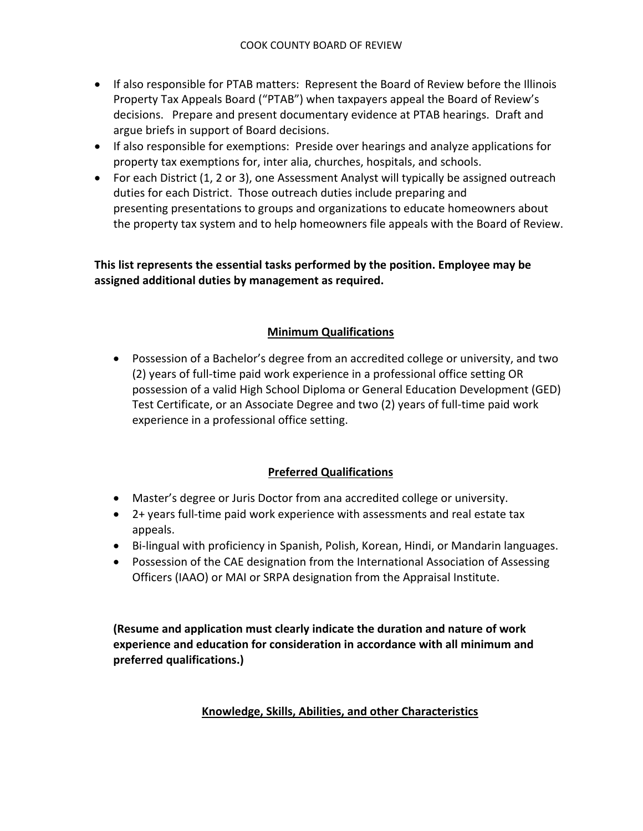- If also responsible for PTAB matters: Represent the Board of Review before the Illinois Property Tax Appeals Board ("PTAB") when taxpayers appeal the Board of Review's decisions. Prepare and present documentary evidence at PTAB hearings. Draft and argue briefs in support of Board decisions.
- If also responsible for exemptions: Preside over hearings and analyze applications for property tax exemptions for, inter alia, churches, hospitals, and schools.
- For each District (1, 2 or 3), one Assessment Analyst will typically be assigned outreach duties for each District. Those outreach duties include preparing and presenting presentations to groups and organizations to educate homeowners about the property tax system and to help homeowners file appeals with the Board of Review.

**This list represents the essential tasks performed by the position. Employee may be assigned additional duties by management as required.**

## **Minimum Qualifications**

 Possession of a Bachelor's degree from an accredited college or university, and two (2) years of full‐time paid work experience in a professional office setting OR possession of a valid High School Diploma or General Education Development (GED) Test Certificate, or an Associate Degree and two (2) years of full‐time paid work experience in a professional office setting.

## **Preferred Qualifications**

- Master's degree or Juris Doctor from ana accredited college or university.
- 2+ years full-time paid work experience with assessments and real estate tax appeals.
- Bi-lingual with proficiency in Spanish, Polish, Korean, Hindi, or Mandarin languages.
- Possession of the CAE designation from the International Association of Assessing Officers (IAAO) or MAI or SRPA designation from the Appraisal Institute.

**(Resume and application must clearly indicate the duration and nature of work experience and education for consideration in accordance with all minimum and preferred qualifications.)**

## **Knowledge, Skills, Abilities, and other Characteristics**